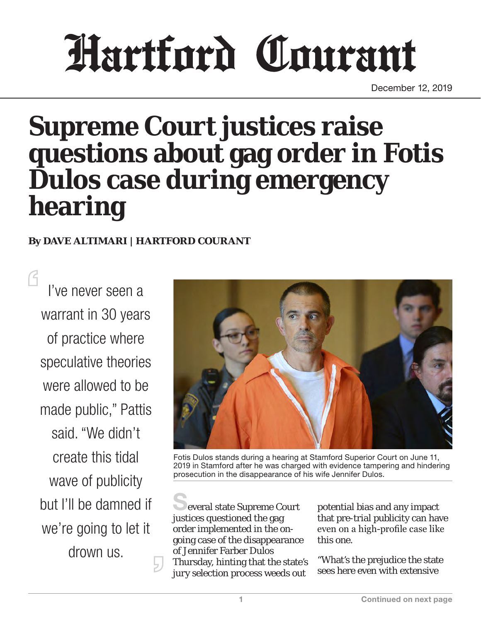# Hartford Courant

December 12, 2019

# **Supreme Court justices raise questions about gag order in Fotis Dulos case during emergency hearing**

#### **By DAVE ALTIMARI | HARTFORD COURANT**

I've never seen a warrant in 30 years of practice where speculative theories were allowed to be made public," Pattis said. "We didn't create this tidal wave of publicity but I'll be damned if we're going to let it drown us.



Fotis Dulos stands during a hearing at Stamford Superior Court on June 11, 2019 in Stamford after he was charged with evidence tampering and hindering prosecution in the disappearance of his wife Jennifer Dulos.

everal state Supreme Court justices questioned the gag order implemented in the ongoing case of the disappearance of Jennifer Farber Dulos Thursday, hinting that the state's jury selection process weeds out

potential bias and any impact that pre-trial publicity can have even on a high-profile case like this one.

"What's the prejudice the state sees here even with extensive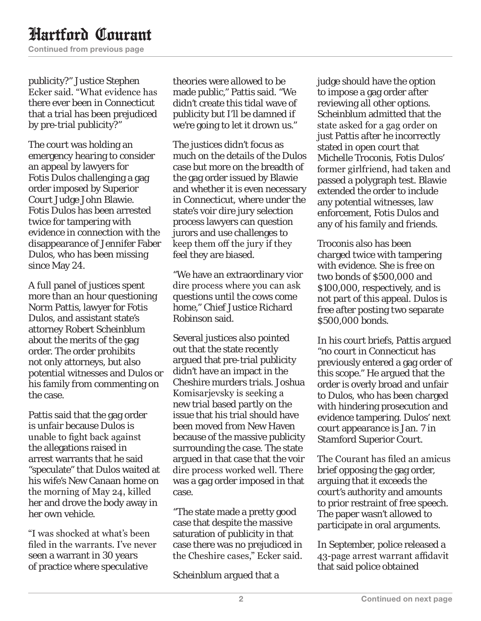## Hartford Courant

Continued from previous page

publicity?" Justice Stephen Ecker said. "What evidence has there ever been in Connecticut that a trial has been prejudiced by pre-trial publicity?"

The court was holding an emergency hearing to consider an appeal by lawyers for Fotis Dulos challenging a gag order imposed by Superior Court Judge John Blawie. Fotis Dulos has been arrested twice for tampering with evidence in connection with the disappearance of Jennifer Faber Dulos, who has been missing since May 24.

A full panel of justices spent more than an hour questioning Norm Pattis, lawyer for Fotis Dulos, and assistant state's attorney Robert Scheinblum about the merits of the gag order. The order prohibits not only attorneys, but also potential witnesses and Dulos or his family from commenting on the case.

Pattis said that the gag order is unfair because Dulos is unable to fight back against the allegations raised in arrest warrants that he said "speculate" that Dulos waited at his wife's New Canaan home on the morning of May 24, killed her and drove the body away in her own vehicle.

"I was shocked at what's been filed in the warrants. I've never seen a warrant in 30 years of practice where speculative

theories were allowed to be made public," Pattis said. "We didn't create this tidal wave of publicity but I'll be damned if we're going to let it drown us."

The justices didn't focus as much on the details of the Dulos case but more on the breadth of the gag order issued by Blawie and whether it is even necessary in Connecticut, where under the state's voir dire jury selection process lawyers can question jurors and use challenges to keep them off the jury if they feel they are biased.

"We have an extraordinary vior dire process where you can ask questions until the cows come home," Chief Justice Richard Robinson said.

Several justices also pointed out that the state recently argued that pre-trial publicity didn't have an impact in the Cheshire murders trials. Joshua Komisarjevsky is seeking a new trial based partly on the issue that his trial should have been moved from New Haven because of the massive publicity surrounding the case. The state argued in that case that the voir dire process worked well. There was a gag order imposed in that case.

"The state made a pretty good case that despite the massive saturation of publicity in that case there was no prejudiced in the Cheshire cases," Ecker said.

Scheinblum argued that a

judge should have the option to impose a gag order after reviewing all other options. Scheinblum admitted that the state asked for a gag order on just Pattis after he incorrectly stated in open court that Michelle Troconis, Fotis Dulos' former girlfriend, had taken and passed a polygraph test. Blawie extended the order to include any potential witnesses, law enforcement, Fotis Dulos and any of his family and friends.

Troconis also has been charged twice with tampering with evidence. She is free on two bonds of \$500,000 and \$100,000, respectively, and is not part of this appeal. Dulos is free after posting two separate \$500,000 bonds.

In his court briefs, Pattis argued "no court in Connecticut has previously entered a gag order of this scope." He argued that the order is overly broad and unfair to Dulos, who has been charged with hindering prosecution and evidence tampering. Dulos' next court appearance is Jan. 7 in Stamford Superior Court.

The Courant has filed an amicus brief opposing the gag order, arguing that it exceeds the court's authority and amounts to prior restraint of free speech. The paper wasn't allowed to participate in oral arguments.

In September, police released a 43-page arrest warrant affidavit that said police obtained